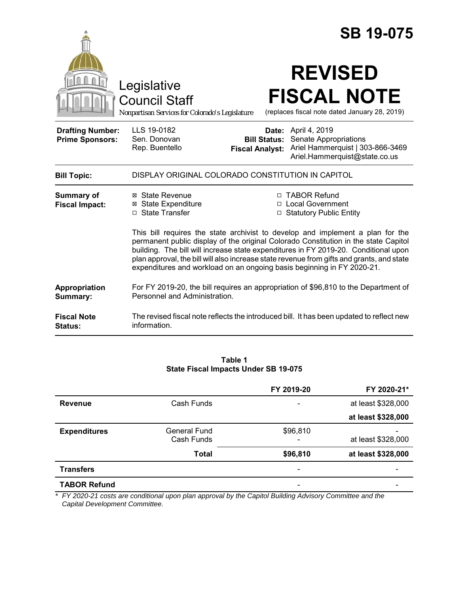|                                                   | Legislative<br><b>Council Staff</b><br>Nonpartisan Services for Colorado's Legislature                                                      |                        | <b>SB 19-075</b><br><b>REVISED</b><br><b>FISCAL NOTE</b><br>(replaces fiscal note dated January 28, 2019)                                                                                                                                                                                                                                                                                                                      |  |
|---------------------------------------------------|---------------------------------------------------------------------------------------------------------------------------------------------|------------------------|--------------------------------------------------------------------------------------------------------------------------------------------------------------------------------------------------------------------------------------------------------------------------------------------------------------------------------------------------------------------------------------------------------------------------------|--|
| <b>Drafting Number:</b><br><b>Prime Sponsors:</b> | LLS 19-0182<br>Sen. Donovan<br>Rep. Buentello                                                                                               | <b>Fiscal Analyst:</b> | Date: April 4, 2019<br><b>Bill Status:</b> Senate Appropriations<br>Ariel Hammerquist   303-866-3469<br>Ariel.Hammerquist@state.co.us                                                                                                                                                                                                                                                                                          |  |
| <b>Bill Topic:</b>                                | DISPLAY ORIGINAL COLORADO CONSTITUTION IN CAPITOL                                                                                           |                        |                                                                                                                                                                                                                                                                                                                                                                                                                                |  |
| <b>Summary of</b><br><b>Fiscal Impact:</b>        | ⊠ State Revenue<br><b>⊠ State Expenditure</b><br>□ State Transfer<br>expenditures and workload on an ongoing basis beginning in FY 2020-21. |                        | □ TABOR Refund<br>□ Local Government<br>□ Statutory Public Entity<br>This bill requires the state archivist to develop and implement a plan for the<br>permanent public display of the original Colorado Constitution in the state Capitol<br>building. The bill will increase state expenditures in FY 2019-20. Conditional upon<br>plan approval, the bill will also increase state revenue from gifts and grants, and state |  |
| Appropriation<br>Summary:                         | For FY 2019-20, the bill requires an appropriation of \$96,810 to the Department of<br>Personnel and Administration.                        |                        |                                                                                                                                                                                                                                                                                                                                                                                                                                |  |
| <b>Fiscal Note</b><br>Status:                     | information.                                                                                                                                |                        | The revised fiscal note reflects the introduced bill. It has been updated to reflect new                                                                                                                                                                                                                                                                                                                                       |  |

#### **Table 1 State Fiscal Impacts Under SB 19-075**

|                     |              | FY 2019-20 | FY 2020-21*        |
|---------------------|--------------|------------|--------------------|
| <b>Revenue</b>      | Cash Funds   |            | at least \$328,000 |
|                     |              |            | at least \$328,000 |
| <b>Expenditures</b> | General Fund | \$96,810   |                    |
|                     | Cash Funds   | -          | at least \$328,000 |
|                     | <b>Total</b> | \$96,810   | at least \$328,000 |
| <b>Transfers</b>    |              |            |                    |
| <b>TABOR Refund</b> |              |            |                    |

*\* FY 2020-21 costs are conditional upon plan approval by the Capitol Building Advisory Committee and the Capital Development Committee.*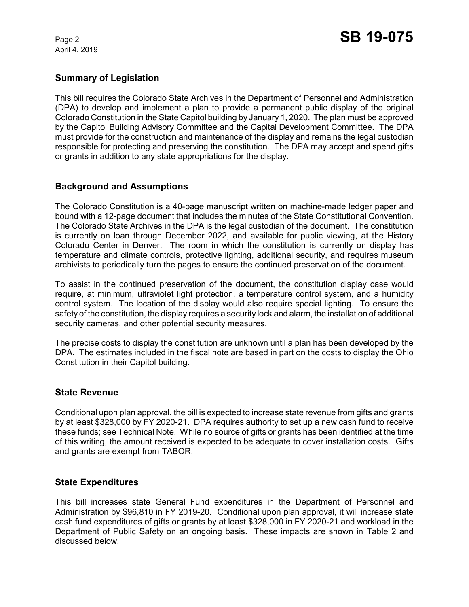April 4, 2019

## **Summary of Legislation**

This bill requires the Colorado State Archives in the Department of Personnel and Administration (DPA) to develop and implement a plan to provide a permanent public display of the original Colorado Constitution in the State Capitol building by January 1, 2020. The plan must be approved by the Capitol Building Advisory Committee and the Capital Development Committee. The DPA must provide for the construction and maintenance of the display and remains the legal custodian responsible for protecting and preserving the constitution. The DPA may accept and spend gifts or grants in addition to any state appropriations for the display.

## **Background and Assumptions**

The Colorado Constitution is a 40-page manuscript written on machine-made ledger paper and bound with a 12-page document that includes the minutes of the State Constitutional Convention. The Colorado State Archives in the DPA is the legal custodian of the document. The constitution is currently on loan through December 2022, and available for public viewing, at the History Colorado Center in Denver. The room in which the constitution is currently on display has temperature and climate controls, protective lighting, additional security, and requires museum archivists to periodically turn the pages to ensure the continued preservation of the document.

To assist in the continued preservation of the document, the constitution display case would require, at minimum, ultraviolet light protection, a temperature control system, and a humidity control system. The location of the display would also require special lighting. To ensure the safety of the constitution, the display requires a security lock and alarm, the installation of additional security cameras, and other potential security measures.

The precise costs to display the constitution are unknown until a plan has been developed by the DPA. The estimates included in the fiscal note are based in part on the costs to display the Ohio Constitution in their Capitol building.

## **State Revenue**

Conditional upon plan approval, the bill is expected to increase state revenue from gifts and grants by at least \$328,000 by FY 2020-21. DPA requires authority to set up a new cash fund to receive these funds; see Technical Note. While no source of gifts or grants has been identified at the time of this writing, the amount received is expected to be adequate to cover installation costs. Gifts and grants are exempt from TABOR.

## **State Expenditures**

This bill increases state General Fund expenditures in the Department of Personnel and Administration by \$96,810 in FY 2019-20. Conditional upon plan approval, it will increase state cash fund expenditures of gifts or grants by at least \$328,000 in FY 2020-21 and workload in the Department of Public Safety on an ongoing basis. These impacts are shown in Table 2 and discussed below.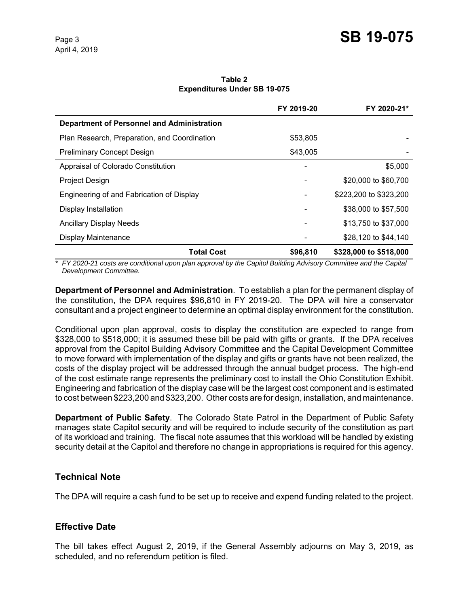**Table 2 Expenditures Under SB 19-075**

|                                                   | FY 2019-20 | FY 2020-21*            |
|---------------------------------------------------|------------|------------------------|
| <b>Department of Personnel and Administration</b> |            |                        |
| Plan Research, Preparation, and Coordination      | \$53,805   |                        |
| <b>Preliminary Concept Design</b>                 | \$43,005   |                        |
| Appraisal of Colorado Constitution                |            | \$5,000                |
| Project Design                                    |            | \$20,000 to \$60,700   |
| Engineering of and Fabrication of Display         |            | \$223,200 to \$323,200 |
| Display Installation                              |            | \$38,000 to \$57,500   |
| <b>Ancillary Display Needs</b>                    |            | \$13,750 to \$37,000   |
| Display Maintenance                               |            | \$28,120 to \$44,140   |
| <b>Total Cost</b>                                 | \$96,810   | \$328,000 to \$518,000 |

\* FY 2020-21 costs are conditional upon plan approval by the Capitol Building Advisory Committee and the Capital *Development Committee.*

**Department of Personnel and Administration**. To establish a plan for the permanent display of the constitution, the DPA requires \$96,810 in FY 2019-20. The DPA will hire a conservator consultant and a project engineer to determine an optimal display environment for the constitution.

Conditional upon plan approval, costs to display the constitution are expected to range from \$328,000 to \$518,000; it is assumed these bill be paid with gifts or grants. If the DPA receives approval from the Capitol Building Advisory Committee and the Capital Development Committee to move forward with implementation of the display and gifts or grants have not been realized, the costs of the display project will be addressed through the annual budget process. The high-end of the cost estimate range represents the preliminary cost to install the Ohio Constitution Exhibit. Engineering and fabrication of the display case will be the largest cost component and is estimated to cost between \$223,200 and \$323,200. Other costs are for design, installation, and maintenance.

**Department of Public Safety**. The Colorado State Patrol in the Department of Public Safety manages state Capitol security and will be required to include security of the constitution as part of its workload and training. The fiscal note assumes that this workload will be handled by existing security detail at the Capitol and therefore no change in appropriations is required for this agency.

## **Technical Note**

The DPA will require a cash fund to be set up to receive and expend funding related to the project.

## **Effective Date**

The bill takes effect August 2, 2019, if the General Assembly adjourns on May 3, 2019, as scheduled, and no referendum petition is filed.